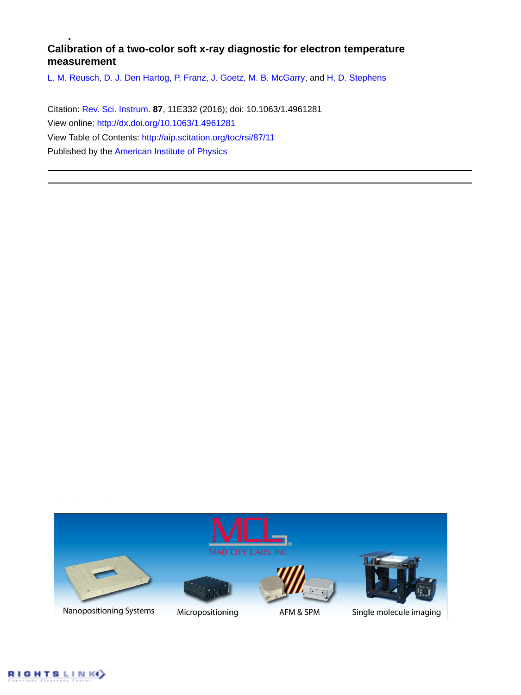# **Calibration of a two-color soft x-ray diagnostic for electron temperature measurement**

[L. M. Reusch](http://aip.scitation.org/author/Reusch%2C+L+M), [D. J. Den Hartog](http://aip.scitation.org/author/den+Hartog%2C+D+J), [P. Franz](http://aip.scitation.org/author/Franz%2C+P), [J. Goetz,](http://aip.scitation.org/author/Goetz%2C+J) [M. B. McGarry,](http://aip.scitation.org/author/McGarry%2C+M+B) and [H. D. Stephens](http://aip.scitation.org/author/Stephens%2C+H+D)

Citation: [Rev. Sci. Instrum.](/loi/rsi) **87**, 11E332 (2016); doi: 10.1063/1.4961281 View online: <http://dx.doi.org/10.1063/1.4961281> View Table of Contents: <http://aip.scitation.org/toc/rsi/87/11> Published by the [American Institute of Physics](http://aip.scitation.org/publisher/)



Nanopositioning Systems



Micropositioning



AFM & SPM



Single molecule imaging

RIGHTSLINK()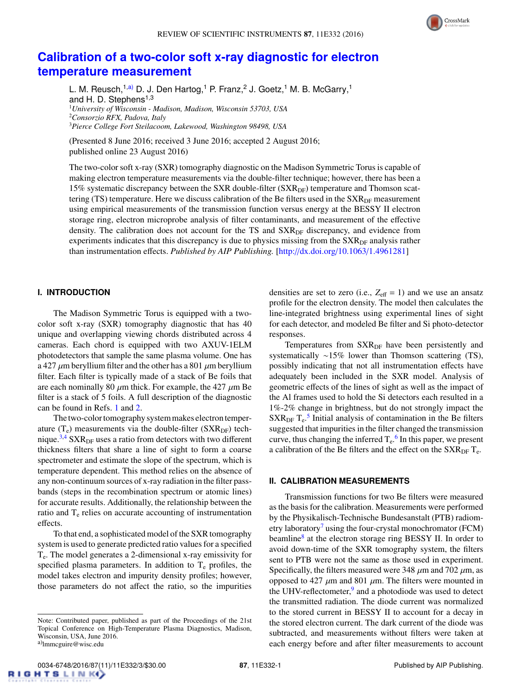

# **[Calibration of a two-color soft x-ray diagnostic for electron](http://dx.doi.org/10.1063/1.4961281) [temperature measurement](http://dx.doi.org/10.1063/1.4961281)**

L. M. Reusch,<sup>1[,a\)](#page-1-0)</sup> D. J. Den Hartog,<sup>1</sup> P. Franz,<sup>2</sup> J. Goetz,<sup>1</sup> M. B. McGarry,<sup>1</sup> and H. D. Stephens<sup>1,3</sup> <sup>1</sup>*University of Wisconsin - Madison, Madison, Wisconsin 53703, USA* <sup>2</sup>*Consorzio RFX, Padova, Italy* <sup>3</sup>*Pierce College Fort Steilacoom, Lakewood, Washington 98498, USA*

(Presented 8 June 2016; received 3 June 2016; accepted 2 August 2016; published online 23 August 2016)

The two-color soft x-ray (SXR) tomography diagnostic on the Madison Symmetric Torus is capable of making electron temperature measurements via the double-filter technique; however, there has been a 15% systematic discrepancy between the SXR double-filter  $(SXR_{DF})$  temperature and Thomson scattering (TS) temperature. Here we discuss calibration of the Be filters used in the  $SXR_{DF}$  measurement using empirical measurements of the transmission function versus energy at the BESSY II electron storage ring, electron microprobe analysis of filter contaminants, and measurement of the effective density. The calibration does not account for the TS and SXR<sub>DF</sub> discrepancy, and evidence from experiments indicates that this discrepancy is due to physics missing from the SXR<sub>DF</sub> analysis rather than instrumentation effects. *Published by AIP Publishing.* [\[http:](http://dx.doi.org/10.1063/1.4961281)//[dx.doi.org](http://dx.doi.org/10.1063/1.4961281)/[10.1063](http://dx.doi.org/10.1063/1.4961281)/[1.4961281\]](http://dx.doi.org/10.1063/1.4961281)

### **I. INTRODUCTION**

The Madison Symmetric Torus is equipped with a twocolor soft x-ray (SXR) tomography diagnostic that has 40 unique and overlapping viewing chords distributed across 4 cameras. Each chord is equipped with two AXUV-1ELM photodetectors that sample the same plasma volume. One has a 427  $\mu$ m beryllium filter and the other has a 801  $\mu$ m beryllium filter. Each filter is typically made of a stack of Be foils that are each nominally 80  $\mu$ m thick. For example, the 427  $\mu$ m Be filter is a stack of 5 foils. A full description of the diagnostic can be found in Refs. [1](#page-3-0) and [2.](#page-3-1)

The two-color tomography system makes electron temperature  $(T_e)$  measurements via the double-filter (SXR<sub>DF</sub>) tech-nique.<sup>[3,](#page-3-2)[4](#page-3-3)</sup> SXR<sub>DF</sub> uses a ratio from detectors with two different thickness filters that share a line of sight to form a coarse spectrometer and estimate the slope of the spectrum, which is temperature dependent. This method relies on the absence of any non-continuum sources of x-ray radiation in the filter passbands (steps in the recombination spectrum or atomic lines) for accurate results. Additionally, the relationship between the ratio and  $T<sub>e</sub>$  relies on accurate accounting of instrumentation effects.

To that end, a sophisticated model of the SXR tomography system is used to generate predicted ratio values for a specified Te. The model generates a 2-dimensional x-ray emissivity for specified plasma parameters. In addition to  $T_e$  profiles, the model takes electron and impurity density profiles; however, those parameters do not affect the ratio, so the impurities

densities are set to zero (i.e.,  $Z_{\text{eff}} = 1$ ) and we use an ansatz profile for the electron density. The model then calculates the line-integrated brightness using experimental lines of sight for each detector, and modeled Be filter and Si photo-detector responses.

Temperatures from SXR<sub>DF</sub> have been persistently and systematically ∼15% lower than Thomson scattering (TS), possibly indicating that not all instrumentation effects have adequately been included in the SXR model. Analysis of geometric effects of the lines of sight as well as the impact of the Al frames used to hold the Si detectors each resulted in a 1%-2% change in brightness, but do not strongly impact the  $SXR<sub>DF</sub> T<sub>e</sub><sup>5</sup>$  $SXR<sub>DF</sub> T<sub>e</sub><sup>5</sup>$  $SXR<sub>DF</sub> T<sub>e</sub><sup>5</sup>$  Initial analysis of contamination in the Be filters suggested that impurities in the filter changed the transmission curve, thus changing the inferred  $T_e$ .<sup>[6](#page-3-5)</sup> In this paper, we present a calibration of the Be filters and the effect on the  $SXR_{DF}T_{e}$ .

#### **II. CALIBRATION MEASUREMENTS**

Transmission functions for two Be filters were measured as the basis for the calibration. Measurements were performed by the Physikalisch-Technische Bundesanstalt (PTB) radiometry laboratory<sup> $\prime$ </sup> using the four-crystal monochromator (FCM) beamline<sup>[8](#page-3-7)</sup> at the electron storage ring BESSY II. In order to avoid down-time of the SXR tomography system, the filters sent to PTB were not the same as those used in experiment. Specifically, the filters measured were 348  $\mu$ m and 702  $\mu$ m, as opposed to 427  $\mu$ m and 801  $\mu$ m. The filters were mounted in the UHV-reflectometer,<sup>[9](#page-3-8)</sup> and a photodiode was used to detect the transmitted radiation. The diode current was normalized to the stored current in BESSY II to account for a decay in the stored electron current. The dark current of the diode was subtracted, and measurements without filters were taken at each energy before and after filter measurements to account

<span id="page-1-0"></span>Note: Contributed paper, published as part of the Proceedings of the 21st Topical Conference on High-Temperature Plasma Diagnostics, Madison, Wisconsin, USA, June 2016. <sup>a)</sup>lmmcguire@wisc.edu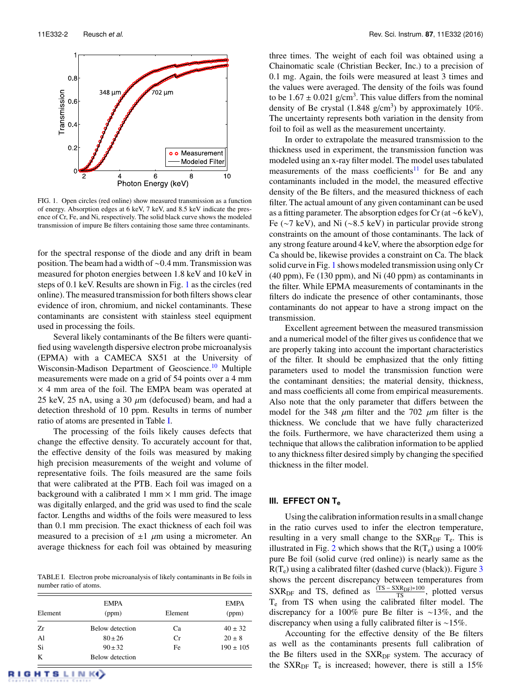<span id="page-2-0"></span>

FIG. 1. Open circles (red online) show measured transmission as a function of energy. Absorption edges at 6 keV, 7 keV, and 8.5 keV indicate the presence of Cr, Fe, and Ni, respectively. The solid black curve shows the modeled transmission of impure Be filters containing those same three contaminants.

for the spectral response of the diode and any drift in beam position. The beam had a width of <sup>∼</sup>0.4 mm. Transmission was measured for photon energies between 1.8 keV and 10 keV in steps of 0.1 keV. Results are shown in Fig. [1](#page-2-0) as the circles (red online). The measured transmission for both filters shows clear evidence of iron, chromium, and nickel contaminants. These contaminants are consistent with stainless steel equipment used in processing the foils.

Several likely contaminants of the Be filters were quantified using wavelength dispersive electron probe microanalysis (EPMA) with a CAMECA SX51 at the University of Wisconsin-Madison Department of Geoscience.<sup>[10](#page-3-9)</sup> Multiple measurements were made on a grid of 54 points over a 4 mm  $\times$  4 mm area of the foil. The EMPA beam was operated at 25 keV, 25 nA, using a 30  $\mu$ m (defocused) beam, and had a detection threshold of 10 ppm. Results in terms of number ratio of atoms are presented in Table [I.](#page-2-1)

The processing of the foils likely causes defects that change the effective density. To accurately account for that, the effective density of the foils was measured by making high precision measurements of the weight and volume of representative foils. The foils measured are the same foils that were calibrated at the PTB. Each foil was imaged on a background with a calibrated 1 mm  $\times$  1 mm grid. The image was digitally enlarged, and the grid was used to find the scale factor. Lengths and widths of the foils were measured to less than 0.1 mm precision. The exact thickness of each foil was measured to a precision of  $\pm 1$   $\mu$ m using a micrometer. An average thickness for each foil was obtained by measuring

<span id="page-2-1"></span>TABLE I. Electron probe microanalysis of likely contaminants in Be foils in number ratio of atoms.

|         | <b>EMPA</b>     |         | <b>EMPA</b>   |
|---------|-----------------|---------|---------------|
| Element | (ppm)           | Element | (ppm)         |
| Zr      | Below detection | Ca      | $40 \pm 32$   |
| A1      | $80 + 26$       | Cr      | $20 \pm 8$    |
| Si      | $90 + 32$       | Fe      | $190 \pm 105$ |
| K       | Below detection |         |               |

three times. The weight of each foil was obtained using a Chainomatic scale (Christian Becker, Inc.) to a precision of 0.1 mg. Again, the foils were measured at least 3 times and the values were averaged. The density of the foils was found to be  $1.67 \pm 0.021$  g/cm<sup>3</sup>. This value differs from the nominal<br>density of Be crystal (1.848 g/cm<sup>3</sup>) by approximately 10% density of Be crystal  $(1.848 \text{ g/cm}^3)$  by approximately 10%. The uncertainty represents both variation in the density from foil to foil as well as the measurement uncertainty.

In order to extrapolate the measured transmission to the thickness used in experiment, the transmission function was modeled using an x-ray filter model. The model uses tabulated measurements of the mass coefficients<sup>[11](#page-3-10)</sup> for Be and any contaminants included in the model, the measured effective density of the Be filters, and the measured thickness of each filter. The actual amount of any given contaminant can be used as a fitting parameter. The absorption edges for Cr (at ∼6 keV), Fe (∼7 keV), and Ni (∼8.5 keV) in particular provide strong constraints on the amount of those contaminants. The lack of any strong feature around 4 keV, where the absorption edge for Ca should be, likewise provides a constraint on Ca. The black solid curve in Fig. [1](#page-2-0) shows modeled transmission using only Cr (40 ppm), Fe (130 ppm), and Ni (40 ppm) as contaminants in the filter. While EPMA measurements of contaminants in the filters do indicate the presence of other contaminants, those contaminants do not appear to have a strong impact on the transmission.

Excellent agreement between the measured transmission and a numerical model of the filter gives us confidence that we are properly taking into account the important characteristics of the filter. It should be emphasized that the only fitting parameters used to model the transmission function were the contaminant densities; the material density, thickness, and mass coefficients all come from empirical measurements. Also note that the only parameter that differs between the model for the 348  $\mu$ m filter and the 702  $\mu$ m filter is the thickness. We conclude that we have fully characterized the foils. Furthermore, we have characterized them using a technique that allows the calibration information to be applied to any thickness filter desired simply by changing the specified thickness in the filter model.

## **III. EFFECT ON T<sup>e</sup>**

Using the calibration information results in a small change in the ratio curves used to infer the electron temperature, resulting in a very small change to the  $SXR<sub>DF</sub> T<sub>e</sub>$ . This is illustrated in Fig. [2](#page-3-11) which shows that the  $R(T_e)$  using a 100% pure Be foil (solid curve (red online)) is nearly same as the  $R(T_e)$  using a calibrated filter (dashed curve (black)). Figure [3](#page-3-12) shows the percent discrepancy between temperatures from  $SXR<sub>DF</sub>$  and TS, defined as  $\frac{(TS - SXR<sub>DF</sub>) * 100}{TS}$ , plotted versus  $T_e$  from TS when using the calibrated filter model. The discrepancy for a 100% pure Be filter is ∼13%, and the discrepancy when using a fully calibrated filter is ∼15%.

Accounting for the effective density of the Be filters as well as the contaminants presents full calibration of the Be filters used in the  $SXR<sub>DF</sub>$  system. The accuracy of the SXR<sub>DF</sub> T<sub>e</sub> is increased; however, there is still a 15%